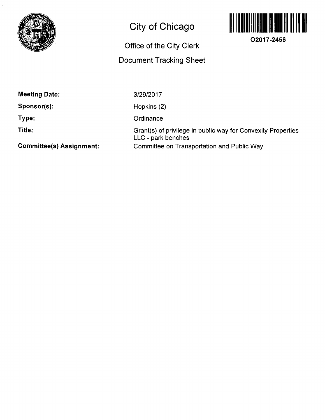

# **City of Chicago**

## **Office of the City Clerk**

### **Document Tracking Sheet**



**O2017-2456** 

**Meeting Date:** 

**Sponsor(s):** 

**Type:** 

**Title:** 

3/29/2017

Hopkins (2)

**Ordinance** 

Grant(s) of privilege in public way for Convexity Properties LLC - park benches Committee on Transportation and Public Way

**Committee(s) Assignment:**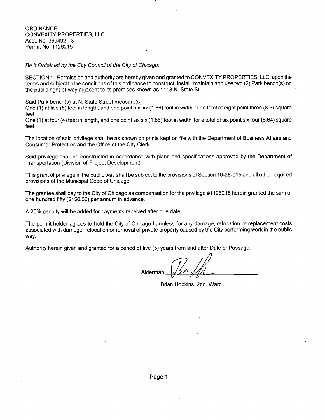**ORDINANCE** CONVEXITY PROPERTIES, LLC Acct. No. 369492 - 3 Permit No. 1126215

Be It Ordained by the City Council of the City of Chicago:

SECTION 1. Permission and authority are hereby given and granted to CONVEXITY PROPERTIES, LLC, upon the terms and subject to the conditions of this ordinance to construct, install, maintain and use two (2) Park bench(s) on the public right-of-way adjacent to its premises known as 1118 N. State St..

Said Park bench(s) at N. State Street measure(s):

One (1) at five (5) feet in length, and one point six six (1.66) foot in width for a total of eight point three (8.3) square feet.

One (1) at four (4) feet in length, and one point six six (1.66) foot in width for a total of six point six four (6.64) square feet.

The location of said privilege shall be as shown on prints kept on file with the Department of Business Affairs and Consumer Protection and the Office of the City Clerk.

Said privilege shall be constructed in accordance with plans and specifications approved by the Department of Transportation (Division of Project Development).

This grant of privilege in the public way shall be subject to the provisions of Section 10-28-015 and all other required provisions of the Municipal Code of Chicago.

The grantee shall pay to the City of Chicago as compensation for the privilege #1126215 herein granted the sum of one hundred fifty (\$150.00) per annum in advance.

A 25% penalty will be added for payments received after due date.

The permit holder agrees to hold the City of Chicago harmless for any damage, relocation or replacement costs associated with damage, relocation or removal of private property caused by the City performing work in the public way.

Authority herein given and granted for a period of five (5) years from and after Date of Passage.

Alderman

Brian Hopkins 2nd Ward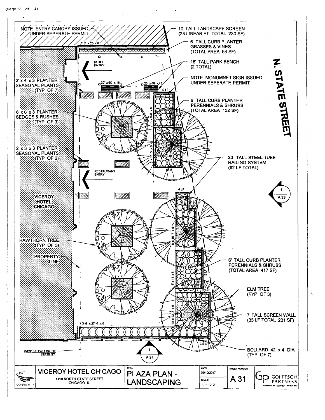